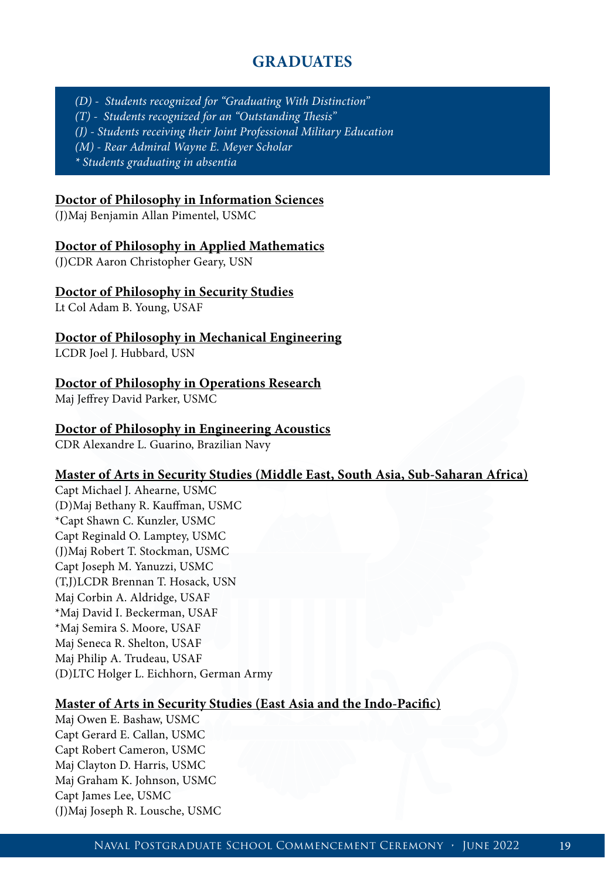# **GRADUATES**

*(D) - Students recognized for "Graduating With Distinction" (T) - Students recognized for an "Outstanding Thesis" (J) - Students receiving their Joint Professional Military Education (M) - Rear Admiral Wayne E. Meyer Scholar \* Students graduating in absentia*

#### **Doctor of Philosophy in Information Sciences**

(J)Maj Benjamin Allan Pimentel, USMC

#### **Doctor of Philosophy in Applied Mathematics**

(J)CDR Aaron Christopher Geary, USN

#### **Doctor of Philosophy in Security Studies**

Lt Col Adam B. Young, USAF

#### **Doctor of Philosophy in Mechanical Engineering**

LCDR Joel J. Hubbard, USN

#### **Doctor of Philosophy in Operations Research**

Maj Jeffrey David Parker, USMC

#### **Doctor of Philosophy in Engineering Acoustics**

CDR Alexandre L. Guarino, Brazilian Navy

#### **Master of Arts in Security Studies (Middle East, South Asia, Sub-Saharan Africa)**

Capt Michael J. Ahearne, USMC (D)Maj Bethany R. Kauffman, USMC \*Capt Shawn C. Kunzler, USMC Capt Reginald O. Lamptey, USMC (J)Maj Robert T. Stockman, USMC Capt Joseph M. Yanuzzi, USMC (T,J)LCDR Brennan T. Hosack, USN Maj Corbin A. Aldridge, USAF \*Maj David I. Beckerman, USAF \*Maj Semira S. Moore, USAF Maj Seneca R. Shelton, USAF Maj Philip A. Trudeau, USAF (D)LTC Holger L. Eichhorn, German Army

#### **Master of Arts in Security Studies (East Asia and the Indo-Pacific)**

Maj Owen E. Bashaw, USMC Capt Gerard E. Callan, USMC Capt Robert Cameron, USMC Maj Clayton D. Harris, USMC Maj Graham K. Johnson, USMC Capt James Lee, USMC (J)Maj Joseph R. Lousche, USMC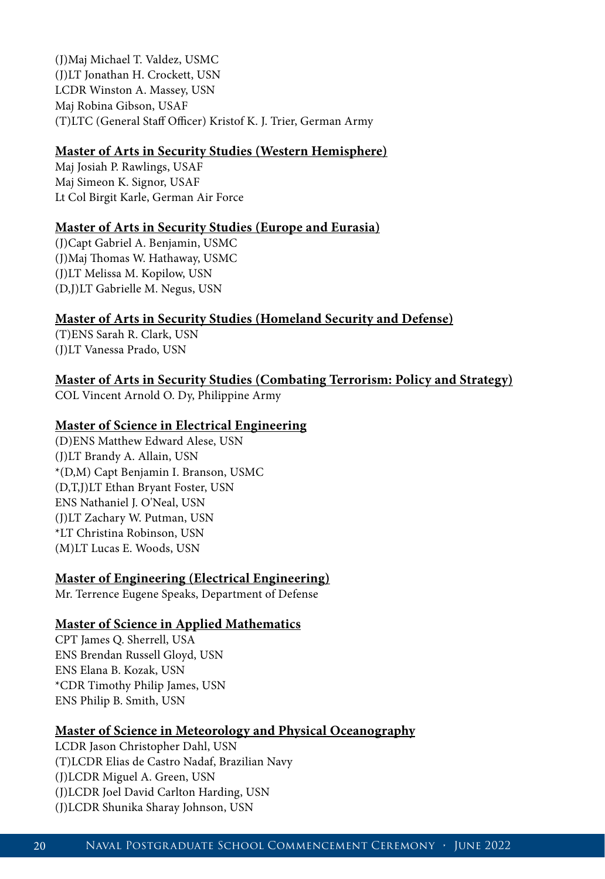(J)Maj Michael T. Valdez, USMC (J)LT Jonathan H. Crockett, USN LCDR Winston A. Massey, USN Maj Robina Gibson, USAF (T)LTC (General Staff Officer) Kristof K. J. Trier, German Army

## **Master of Arts in Security Studies (Western Hemisphere)**

Maj Josiah P. Rawlings, USAF Maj Simeon K. Signor, USAF Lt Col Birgit Karle, German Air Force

## **Master of Arts in Security Studies (Europe and Eurasia)**

(J)Capt Gabriel A. Benjamin, USMC (J)Maj Thomas W. Hathaway, USMC (J)LT Melissa M. Kopilow, USN (D,J)LT Gabrielle M. Negus, USN

# **Master of Arts in Security Studies (Homeland Security and Defense)**

(T)ENS Sarah R. Clark, USN (J)LT Vanessa Prado, USN

# **Master of Arts in Security Studies (Combating Terrorism: Policy and Strategy)**

COL Vincent Arnold O. Dy, Philippine Army

## **Master of Science in Electrical Engineering**

(D)ENS Matthew Edward Alese, USN (J)LT Brandy A. Allain, USN \*(D,M) Capt Benjamin I. Branson, USMC (D,T,J)LT Ethan Bryant Foster, USN ENS Nathaniel J. O'Neal, USN (J)LT Zachary W. Putman, USN \*LT Christina Robinson, USN (M)LT Lucas E. Woods, USN

# **Master of Engineering (Electrical Engineering)**

Mr. Terrence Eugene Speaks, Department of Defense

#### **Master of Science in Applied Mathematics**

CPT James Q. Sherrell, USA ENS Brendan Russell Gloyd, USN ENS Elana B. Kozak, USN \*CDR Timothy Philip James, USN ENS Philip B. Smith, USN

#### **Master of Science in Meteorology and Physical Oceanography**

LCDR Jason Christopher Dahl, USN (T)LCDR Elias de Castro Nadaf, Brazilian Navy (J)LCDR Miguel A. Green, USN (J)LCDR Joel David Carlton Harding, USN (J)LCDR Shunika Sharay Johnson, USN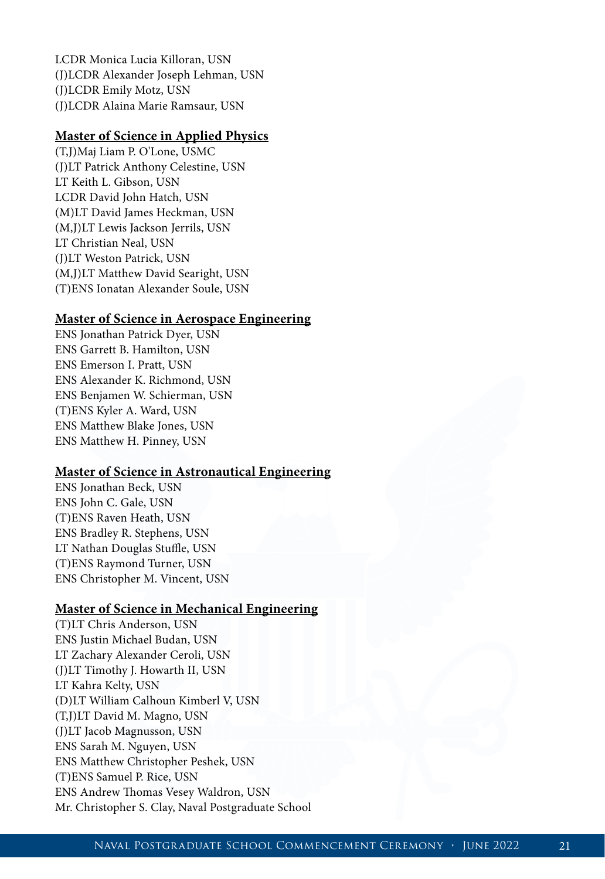LCDR Monica Lucia Killoran, USN (J)LCDR Alexander Joseph Lehman, USN (J)LCDR Emily Motz, USN (J)LCDR Alaina Marie Ramsaur, USN

## **Master of Science in Applied Physics**

(T,J)Maj Liam P. O'Lone, USMC (J)LT Patrick Anthony Celestine, USN LT Keith L. Gibson, USN LCDR David John Hatch, USN (M)LT David James Heckman, USN (M,J)LT Lewis Jackson Jerrils, USN LT Christian Neal, USN (J)LT Weston Patrick, USN (M,J)LT Matthew David Searight, USN (T)ENS Ionatan Alexander Soule, USN

## **Master of Science in Aerospace Engineering**

ENS Jonathan Patrick Dyer, USN ENS Garrett B. Hamilton, USN ENS Emerson I. Pratt, USN ENS Alexander K. Richmond, USN ENS Benjamen W. Schierman, USN (T)ENS Kyler A. Ward, USN ENS Matthew Blake Jones, USN ENS Matthew H. Pinney, USN

## **Master of Science in Astronautical Engineering**

ENS Jonathan Beck, USN ENS John C. Gale, USN (T)ENS Raven Heath, USN ENS Bradley R. Stephens, USN LT Nathan Douglas Stuffle, USN (T)ENS Raymond Turner, USN ENS Christopher M. Vincent, USN

#### **Master of Science in Mechanical Engineering**

(T)LT Chris Anderson, USN ENS Justin Michael Budan, USN LT Zachary Alexander Ceroli, USN (J)LT Timothy J. Howarth II, USN LT Kahra Kelty, USN (D)LT William Calhoun Kimberl V, USN (T,J)LT David M. Magno, USN (J)LT Jacob Magnusson, USN ENS Sarah M. Nguyen, USN ENS Matthew Christopher Peshek, USN (T)ENS Samuel P. Rice, USN ENS Andrew Thomas Vesey Waldron, USN Mr. Christopher S. Clay, Naval Postgraduate School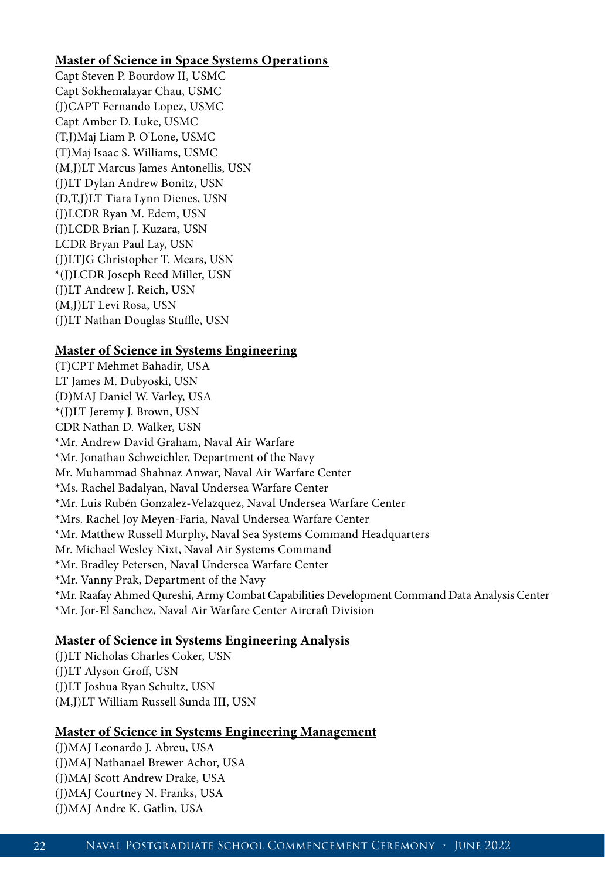## **Master of Science in Space Systems Operations**

Capt Steven P. Bourdow II, USMC Capt Sokhemalayar Chau, USMC (J)CAPT Fernando Lopez, USMC Capt Amber D. Luke, USMC (T,J)Maj Liam P. O'Lone, USMC (T)Maj Isaac S. Williams, USMC (M,J)LT Marcus James Antonellis, USN (J)LT Dylan Andrew Bonitz, USN (D,T,J)LT Tiara Lynn Dienes, USN (J)LCDR Ryan M. Edem, USN (J)LCDR Brian J. Kuzara, USN LCDR Bryan Paul Lay, USN (J)LTJG Christopher T. Mears, USN \*(J)LCDR Joseph Reed Miller, USN (J)LT Andrew J. Reich, USN (M,J)LT Levi Rosa, USN (J)LT Nathan Douglas Stuffle, USN

## **Master of Science in Systems Engineering**

(T)CPT Mehmet Bahadir, USA LT James M. Dubyoski, USN (D)MAJ Daniel W. Varley, USA \*(J)LT Jeremy J. Brown, USN CDR Nathan D. Walker, USN \*Mr. Andrew David Graham, Naval Air Warfare \*Mr. Jonathan Schweichler, Department of the Navy Mr. Muhammad Shahnaz Anwar, Naval Air Warfare Center \*Ms. Rachel Badalyan, Naval Undersea Warfare Center \*Mr. Luis Rubén Gonzalez-Velazquez, Naval Undersea Warfare Center \*Mrs. Rachel Joy Meyen-Faria, Naval Undersea Warfare Center \*Mr. Matthew Russell Murphy, Naval Sea Systems Command Headquarters Mr. Michael Wesley Nixt, Naval Air Systems Command \*Mr. Bradley Petersen, Naval Undersea Warfare Center \*Mr. Vanny Prak, Department of the Navy \*Mr. Raafay Ahmed Qureshi, Army Combat Capabilities Development Command Data Analysis Center \*Mr. Jor-El Sanchez, Naval Air Warfare Center Aircraft Division

## **Master of Science in Systems Engineering Analysis**

(J)LT Nicholas Charles Coker, USN (J)LT Alyson Groff, USN (J)LT Joshua Ryan Schultz, USN (M,J)LT William Russell Sunda III, USN

## **Master of Science in Systems Engineering Management**

(J)MAJ Leonardo J. Abreu, USA (J)MAJ Nathanael Brewer Achor, USA (J)MAJ Scott Andrew Drake, USA (J)MAJ Courtney N. Franks, USA (J)MAJ Andre K. Gatlin, USA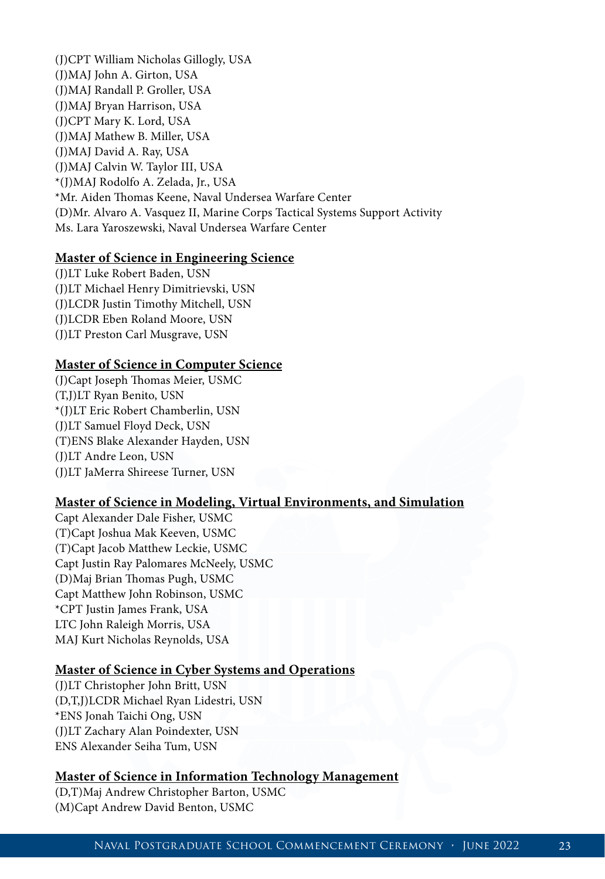(J)CPT William Nicholas Gillogly, USA (J)MAJ John A. Girton, USA (J)MAJ Randall P. Groller, USA (J)MAJ Bryan Harrison, USA (J)CPT Mary K. Lord, USA (J)MAJ Mathew B. Miller, USA (J)MAJ David A. Ray, USA (J)MAJ Calvin W. Taylor III, USA \*(J)MAJ Rodolfo A. Zelada, Jr., USA \*Mr. Aiden Thomas Keene, Naval Undersea Warfare Center (D)Mr. Alvaro A. Vasquez II, Marine Corps Tactical Systems Support Activity Ms. Lara Yaroszewski, Naval Undersea Warfare Center

#### **Master of Science in Engineering Science**

(J)LT Luke Robert Baden, USN (J)LT Michael Henry Dimitrievski, USN (J)LCDR Justin Timothy Mitchell, USN (J)LCDR Eben Roland Moore, USN (J)LT Preston Carl Musgrave, USN

## **Master of Science in Computer Science**

(J)Capt Joseph Thomas Meier, USMC (T,J)LT Ryan Benito, USN \*(J)LT Eric Robert Chamberlin, USN (J)LT Samuel Floyd Deck, USN (T)ENS Blake Alexander Hayden, USN (J)LT Andre Leon, USN (J)LT JaMerra Shireese Turner, USN

#### **Master of Science in Modeling, Virtual Environments, and Simulation**

Capt Alexander Dale Fisher, USMC (T)Capt Joshua Mak Keeven, USMC (T)Capt Jacob Matthew Leckie, USMC Capt Justin Ray Palomares McNeely, USMC (D)Maj Brian Thomas Pugh, USMC Capt Matthew John Robinson, USMC \*CPT Justin James Frank, USA LTC John Raleigh Morris, USA MAJ Kurt Nicholas Reynolds, USA

#### **Master of Science in Cyber Systems and Operations**

(J)LT Christopher John Britt, USN (D,T,J)LCDR Michael Ryan Lidestri, USN \*ENS Jonah Taichi Ong, USN (J)LT Zachary Alan Poindexter, USN ENS Alexander Seiha Tum, USN

#### **Master of Science in Information Technology Management**

(D,T)Maj Andrew Christopher Barton, USMC (M)Capt Andrew David Benton, USMC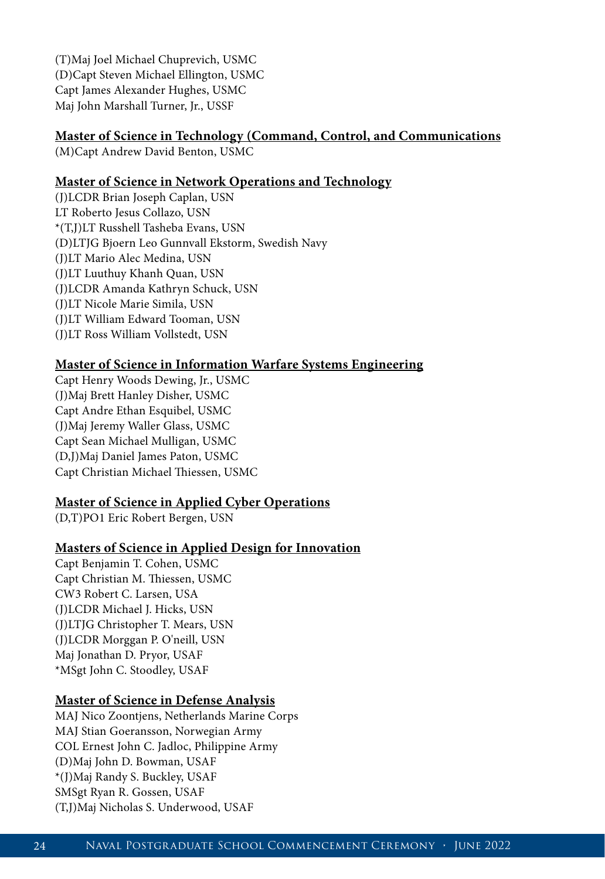(T)Maj Joel Michael Chuprevich, USMC (D)Capt Steven Michael Ellington, USMC Capt James Alexander Hughes, USMC Maj John Marshall Turner, Jr., USSF

# **Master of Science in Technology (Command, Control, and Communications**

(M)Capt Andrew David Benton, USMC

# **Master of Science in Network Operations and Technology**

(J)LCDR Brian Joseph Caplan, USN LT Roberto Jesus Collazo, USN \*(T,J)LT Russhell Tasheba Evans, USN (D)LTJG Bjoern Leo Gunnvall Ekstorm, Swedish Navy (J)LT Mario Alec Medina, USN (J)LT Luuthuy Khanh Quan, USN (J)LCDR Amanda Kathryn Schuck, USN (J)LT Nicole Marie Simila, USN (J)LT William Edward Tooman, USN (J)LT Ross William Vollstedt, USN

# **Master of Science in Information Warfare Systems Engineering**

Capt Henry Woods Dewing, Jr., USMC (J)Maj Brett Hanley Disher, USMC Capt Andre Ethan Esquibel, USMC (J)Maj Jeremy Waller Glass, USMC Capt Sean Michael Mulligan, USMC (D,J)Maj Daniel James Paton, USMC Capt Christian Michael Thiessen, USMC

# **Master of Science in Applied Cyber Operations**

(D,T)PO1 Eric Robert Bergen, USN

# **Masters of Science in Applied Design for Innovation**

Capt Benjamin T. Cohen, USMC Capt Christian M. Thiessen, USMC CW3 Robert C. Larsen, USA (J)LCDR Michael J. Hicks, USN (J)LTJG Christopher T. Mears, USN (J)LCDR Morggan P. O'neill, USN Maj Jonathan D. Pryor, USAF \*MSgt John C. Stoodley, USAF

# **Master of Science in Defense Analysis**

MAJ Nico Zoontjens, Netherlands Marine Corps MAJ Stian Goeransson, Norwegian Army COL Ernest John C. Jadloc, Philippine Army (D)Maj John D. Bowman, USAF \*(J)Maj Randy S. Buckley, USAF SMSgt Ryan R. Gossen, USAF (T,J)Maj Nicholas S. Underwood, USAF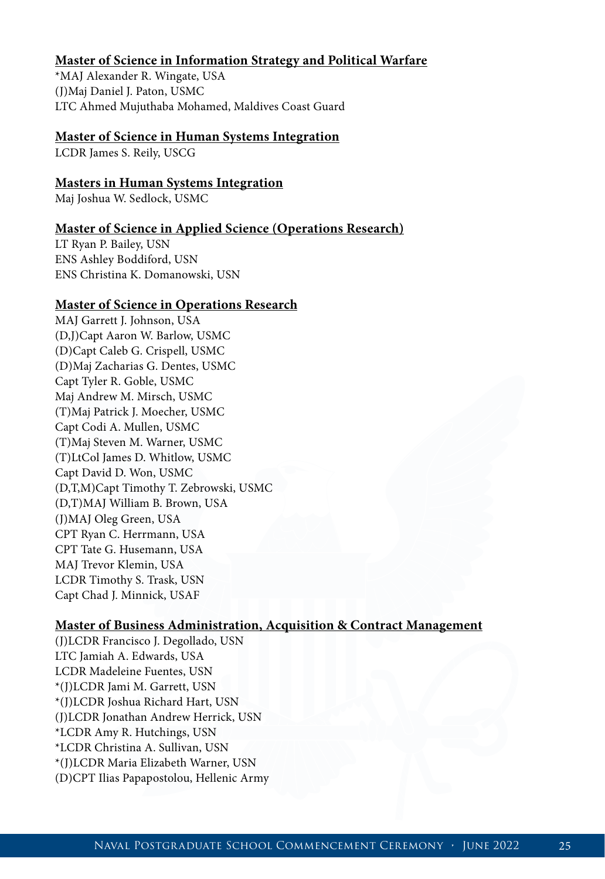## **Master of Science in Information Strategy and Political Warfare**

\*MAJ Alexander R. Wingate, USA (J)Maj Daniel J. Paton, USMC LTC Ahmed Mujuthaba Mohamed, Maldives Coast Guard

#### **Master of Science in Human Systems Integration**

LCDR James S. Reily, USCG

### **Masters in Human Systems Integration**

Maj Joshua W. Sedlock, USMC

#### **Master of Science in Applied Science (Operations Research)**

LT Ryan P. Bailey, USN ENS Ashley Boddiford, USN ENS Christina K. Domanowski, USN

#### **Master of Science in Operations Research**

MAJ Garrett J. Johnson, USA (D,J)Capt Aaron W. Barlow, USMC (D)Capt Caleb G. Crispell, USMC (D)Maj Zacharias G. Dentes, USMC Capt Tyler R. Goble, USMC Maj Andrew M. Mirsch, USMC (T)Maj Patrick J. Moecher, USMC Capt Codi A. Mullen, USMC (T)Maj Steven M. Warner, USMC (T)LtCol James D. Whitlow, USMC Capt David D. Won, USMC (D,T,M)Capt Timothy T. Zebrowski, USMC (D,T)MAJ William B. Brown, USA (J)MAJ Oleg Green, USA CPT Ryan C. Herrmann, USA CPT Tate G. Husemann, USA MAJ Trevor Klemin, USA LCDR Timothy S. Trask, USN Capt Chad J. Minnick, USAF

#### **Master of Business Administration, Acquisition & Contract Management**

(J)LCDR Francisco J. Degollado, USN LTC Jamiah A. Edwards, USA LCDR Madeleine Fuentes, USN \*(J)LCDR Jami M. Garrett, USN \*(J)LCDR Joshua Richard Hart, USN (J)LCDR Jonathan Andrew Herrick, USN \*LCDR Amy R. Hutchings, USN \*LCDR Christina A. Sullivan, USN \*(J)LCDR Maria Elizabeth Warner, USN (D)CPT Ilias Papapostolou, Hellenic Army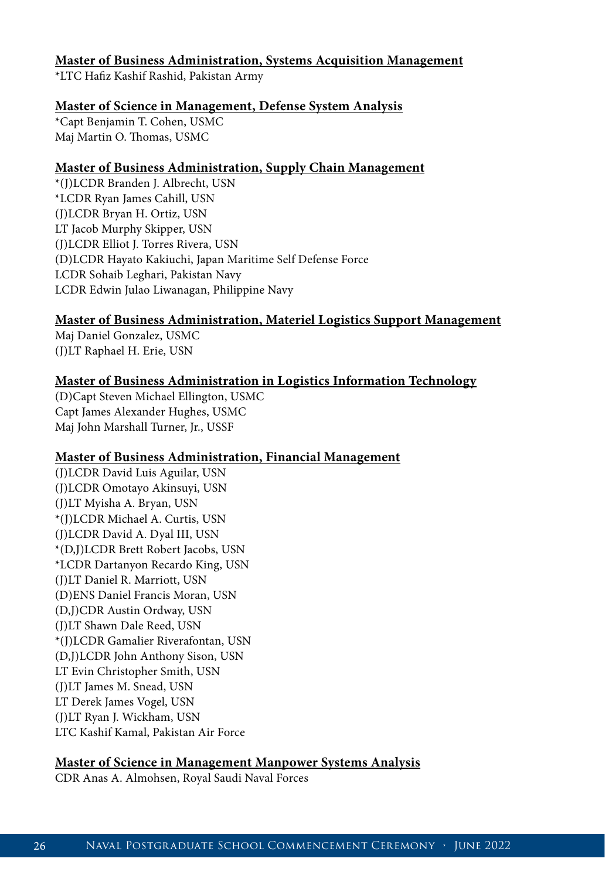## **Master of Business Administration, Systems Acquisition Management**

\*LTC Hafiz Kashif Rashid, Pakistan Army

## **Master of Science in Management, Defense System Analysis**

\*Capt Benjamin T. Cohen, USMC Maj Martin O. Thomas, USMC

## **Master of Business Administration, Supply Chain Management**

\*(J)LCDR Branden J. Albrecht, USN \*LCDR Ryan James Cahill, USN (J)LCDR Bryan H. Ortiz, USN LT Jacob Murphy Skipper, USN (J)LCDR Elliot J. Torres Rivera, USN (D)LCDR Hayato Kakiuchi, Japan Maritime Self Defense Force LCDR Sohaib Leghari, Pakistan Navy LCDR Edwin Julao Liwanagan, Philippine Navy

## **Master of Business Administration, Materiel Logistics Support Management**

Maj Daniel Gonzalez, USMC (J)LT Raphael H. Erie, USN

# **Master of Business Administration in Logistics Information Technology**

(D)Capt Steven Michael Ellington, USMC Capt James Alexander Hughes, USMC Maj John Marshall Turner, Jr., USSF

#### **Master of Business Administration, Financial Management**

(J)LCDR David Luis Aguilar, USN (J)LCDR Omotayo Akinsuyi, USN (J)LT Myisha A. Bryan, USN \*(J)LCDR Michael A. Curtis, USN (J)LCDR David A. Dyal III, USN \*(D,J)LCDR Brett Robert Jacobs, USN \*LCDR Dartanyon Recardo King, USN (J)LT Daniel R. Marriott, USN (D)ENS Daniel Francis Moran, USN (D,J)CDR Austin Ordway, USN (J)LT Shawn Dale Reed, USN \*(J)LCDR Gamalier Riverafontan, USN (D,J)LCDR John Anthony Sison, USN LT Evin Christopher Smith, USN (J)LT James M. Snead, USN LT Derek James Vogel, USN (J)LT Ryan J. Wickham, USN LTC Kashif Kamal, Pakistan Air Force

# **Master of Science in Management Manpower Systems Analysis**

CDR Anas A. Almohsen, Royal Saudi Naval Forces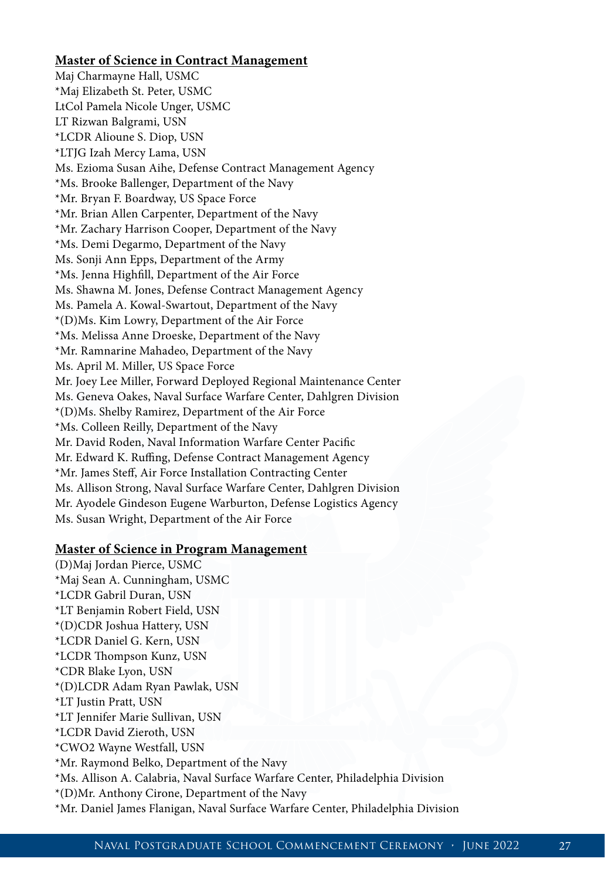### **Master of Science in Contract Management**

Maj Charmayne Hall, USMC \*Maj Elizabeth St. Peter, USMC LtCol Pamela Nicole Unger, USMC LT Rizwan Balgrami, USN \*LCDR Alioune S. Diop, USN \*LTJG Izah Mercy Lama, USN Ms. Ezioma Susan Aihe, Defense Contract Management Agency \*Ms. Brooke Ballenger, Department of the Navy \*Mr. Bryan F. Boardway, US Space Force \*Mr. Brian Allen Carpenter, Department of the Navy \*Mr. Zachary Harrison Cooper, Department of the Navy \*Ms. Demi Degarmo, Department of the Navy Ms. Sonji Ann Epps, Department of the Army \*Ms. Jenna Highfill, Department of the Air Force Ms. Shawna M. Jones, Defense Contract Management Agency Ms. Pamela A. Kowal-Swartout, Department of the Navy \*(D)Ms. Kim Lowry, Department of the Air Force \*Ms. Melissa Anne Droeske, Department of the Navy \*Mr. Ramnarine Mahadeo, Department of the Navy Ms. April M. Miller, US Space Force Mr. Joey Lee Miller, Forward Deployed Regional Maintenance Center Ms. Geneva Oakes, Naval Surface Warfare Center, Dahlgren Division \*(D)Ms. Shelby Ramirez, Department of the Air Force \*Ms. Colleen Reilly, Department of the Navy Mr. David Roden, Naval Information Warfare Center Pacific Mr. Edward K. Ruffing, Defense Contract Management Agency \*Mr. James Steff, Air Force Installation Contracting Center Ms. Allison Strong, Naval Surface Warfare Center, Dahlgren Division Mr. Ayodele Gindeson Eugene Warburton, Defense Logistics Agency Ms. Susan Wright, Department of the Air Force

#### **Master of Science in Program Management**

(D)Maj Jordan Pierce, USMC \*Maj Sean A. Cunningham, USMC \*LCDR Gabril Duran, USN \*LT Benjamin Robert Field, USN \*(D)CDR Joshua Hattery, USN \*LCDR Daniel G. Kern, USN \*LCDR Thompson Kunz, USN \*CDR Blake Lyon, USN \*(D)LCDR Adam Ryan Pawlak, USN \*LT Justin Pratt, USN \*LT Jennifer Marie Sullivan, USN \*LCDR David Zieroth, USN \*CWO2 Wayne Westfall, USN \*Mr. Raymond Belko, Department of the Navy \*Ms. Allison A. Calabria, Naval Surface Warfare Center, Philadelphia Division \*(D)Mr. Anthony Cirone, Department of the Navy \*Mr. Daniel James Flanigan, Naval Surface Warfare Center, Philadelphia Division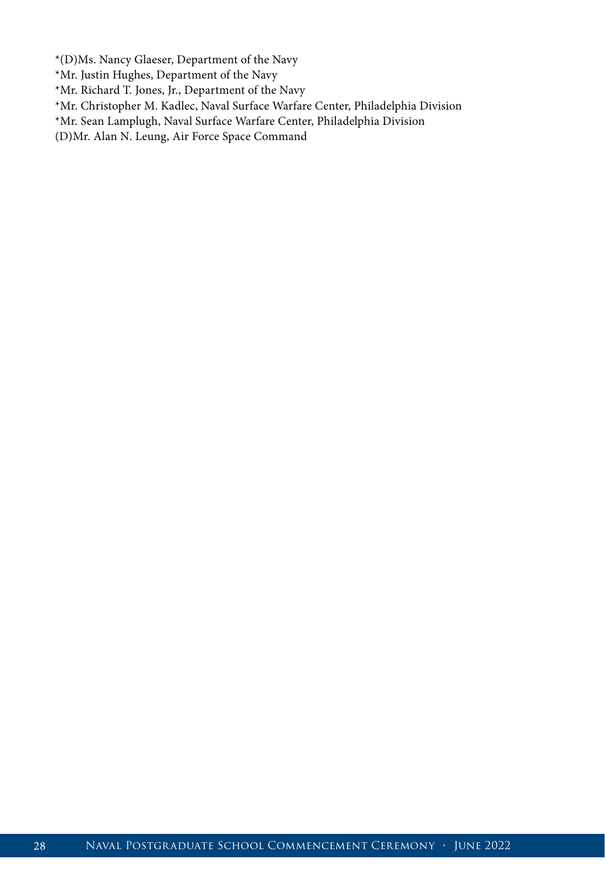\*(D)Ms. Nancy Glaeser, Department of the Navy

\*Mr. Justin Hughes, Department of the Navy

\*Mr. Richard T. Jones, Jr., Department of the Navy

\*Mr. Christopher M. Kadlec, Naval Surface Warfare Center, Philadelphia Division

\*Mr. Sean Lamplugh, Naval Surface Warfare Center, Philadelphia Division

(D)Mr. Alan N. Leung, Air Force Space Command